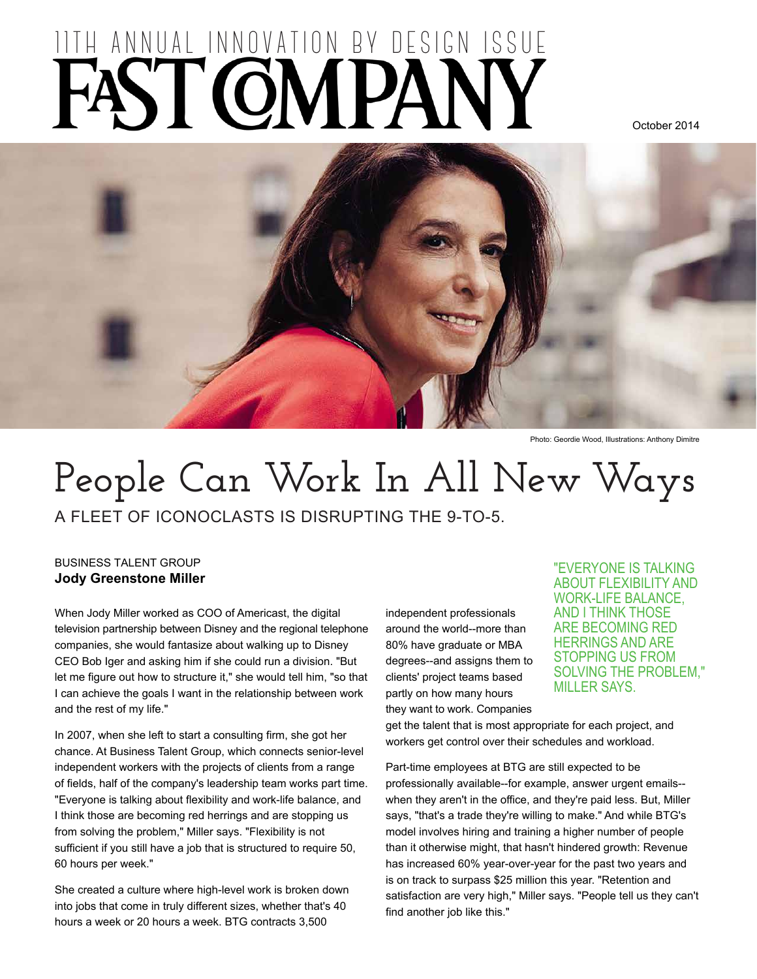# ITH ANNUAL INNOVATION BY DESIGN ISSUE

October 2014



Photo: Geordie Wood, Illustrations: Anthony Dimitre

## **People Can Work In All New Ways**

A FLEET OF ICONOCLASTS IS DISRUPTING THE 9-TO-5.

#### BUSINESS TALENT GROUP **Jody Greenstone Miller**

When Jody Miller worked as COO of Americast, the digital television partnership between Disney and the regional telephone companies, she would fantasize about walking up to Disney CEO Bob Iger and asking him if she could run a division. "But let me figure out how to structure it," she would tell him, "so that I can achieve the goals I want in the relationship between work and the rest of my life."

In 2007, when she left to start a consulting firm, she got her chance. At Business Talent Group, which connects senior-level independent workers with the projects of clients from a range of fields, half of the company's leadership team works part time. "Everyone is talking about flexibility and work-life balance, and I think those are becoming red herrings and are stopping us from solving the problem," Miller says. "Flexibility is not sufficient if you still have a job that is structured to require 50, 60 hours per week."

She created a culture where high-level work is broken down into jobs that come in truly different sizes, whether that's 40 hours a week or 20 hours a week. BTG contracts 3,500

independent professionals around the world--more than 80% have graduate or MBA degrees--and assigns them to clients' project teams based partly on how many hours they want to work. Companies

"EVERYONE IS TALKING ABOUT FLEXIBILITY AND WORK-LIFE BALANCE, AND I THINK THOSE ARE BECOMING RED HERRINGS AND ARE STOPPING US FROM SOLVING THE PROBLEM," MILLER SAYS.

get the talent that is most appropriate for each project, and workers get control over their schedules and workload.

Part-time employees at BTG are still expected to be professionally available--for example, answer urgent emails- when they aren't in the office, and they're paid less. But, Miller says, "that's a trade they're willing to make." And while BTG's model involves hiring and training a higher number of people than it otherwise might, that hasn't hindered growth: Revenue has increased 60% year-over-year for the past two years and is on track to surpass \$25 million this year. "Retention and satisfaction are very high," Miller says. "People tell us they can't find another job like this."